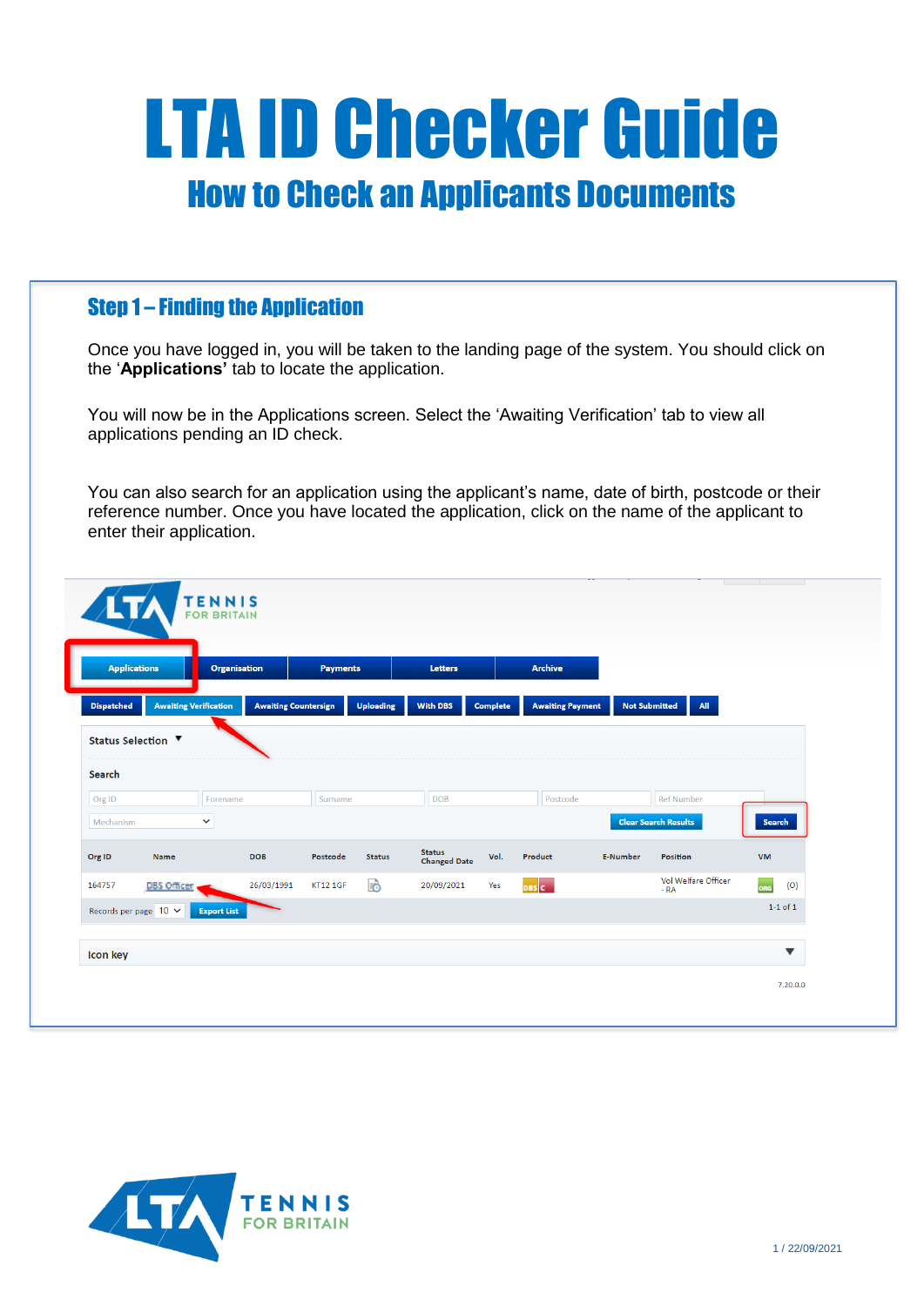# LTA ID Checker Guide How to Check an Applicants Documents

## Step 1 – Finding the Application

Once you have logged in, you will be taken to the landing page of the system. You should click on the '**Applications'** tab to locate the application.

You will now be in the Applications screen. Select the 'Awaiting Verification' tab to view all applications pending an ID check.

You can also search for an application using the applicant's name, date of birth, postcode or their reference number. Once you have located the application, click on the name of the applicant to enter their application.

|                   | <b>Applications</b>          | <b>Organisation</b> |                             | <b>Payments</b> |                  | <b>Letters</b>                       |                 | <b>Archive</b>          |                      |                              |               |
|-------------------|------------------------------|---------------------|-----------------------------|-----------------|------------------|--------------------------------------|-----------------|-------------------------|----------------------|------------------------------|---------------|
| <b>Dispatched</b> | <b>Awaiting Verification</b> |                     | <b>Awaiting Countersign</b> |                 | <b>Uploading</b> | <b>With DBS</b>                      | <b>Complete</b> | <b>Awaiting Payment</b> | <b>Not Submitted</b> | All                          |               |
|                   | Status Selection ▼           |                     |                             |                 |                  |                                      |                 |                         |                      |                              |               |
| Search            |                              |                     |                             |                 |                  |                                      |                 |                         |                      |                              |               |
| Org ID            |                              | Forename            |                             | Surname         |                  | <b>DOB</b>                           |                 | Postcode                |                      | <b>Ref Number</b>            |               |
| Mechanism         |                              | $\checkmark$        |                             |                 |                  |                                      |                 |                         |                      | <b>Clear Search Results</b>  | <b>Search</b> |
| Org ID            | Name                         |                     | <b>DOB</b>                  | Postcode        | <b>Status</b>    | <b>Status</b><br><b>Changed Date</b> | Vol.            | Product                 | <b>E-Number</b>      | <b>Position</b>              | <b>VM</b>     |
| 164757            | <b>DBS</b> Officer           |                     | 26/03/1991                  | <b>KT12 1GF</b> | B                | 20/09/2021                           | Yes             | DBS C                   |                      | Vol Welfare Officer<br>$-RA$ | org<br>(O)    |
|                   | Records per page $10 \times$ | <b>Export List</b>  |                             |                 |                  |                                      |                 |                         |                      |                              | $1-1$ of $1$  |

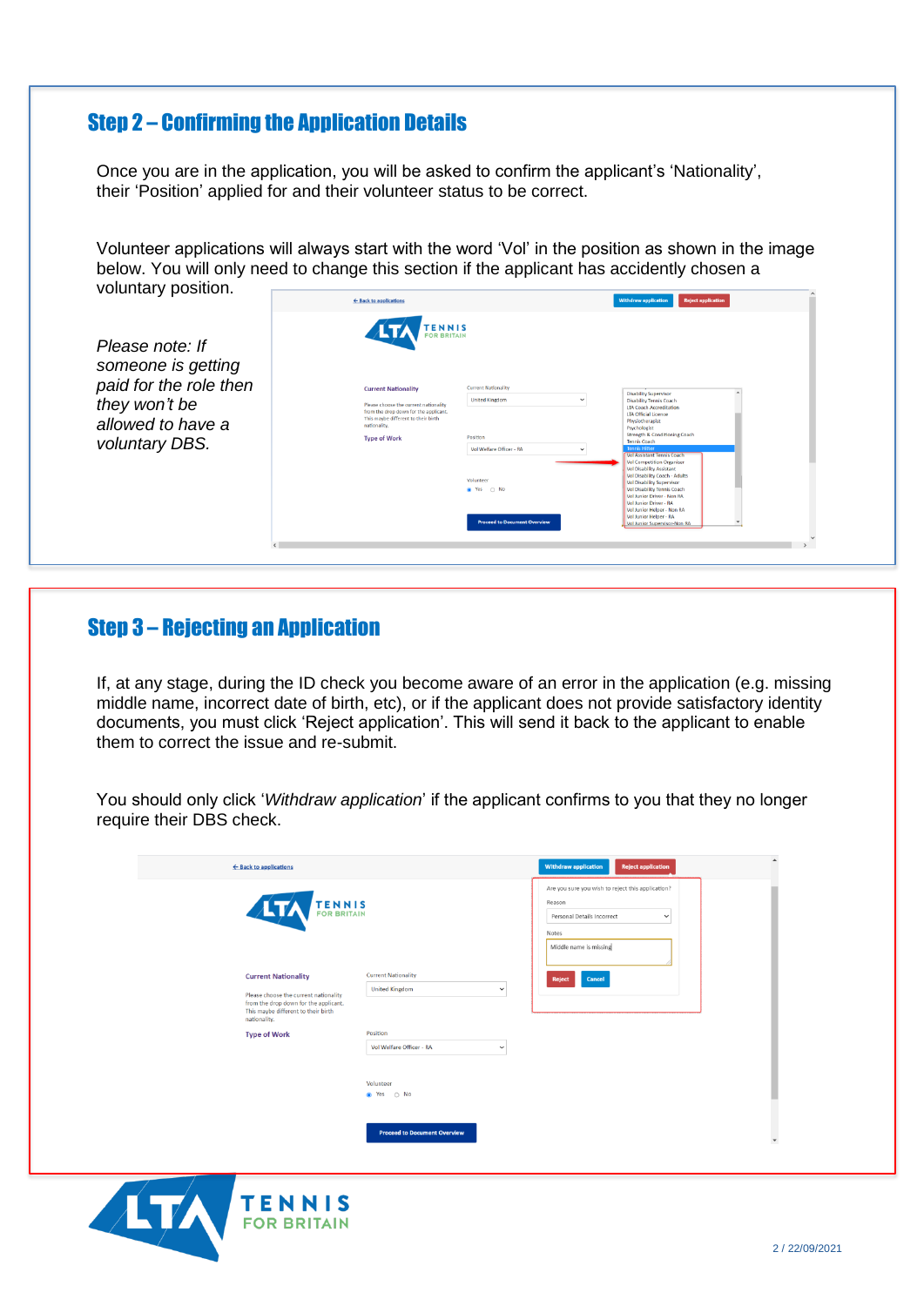# Step 2 – Confirming the Application Details

Once you are in the application, you will be asked to confirm the applicant's 'Nationality', their 'Position' applied for and their volunteer status to be correct.

Volunteer applications will always start with the word 'Vol' in the position as shown in the image below. You will only need to change this section if the applicant has accidently chosen a voluntary position. m.  $\overline{\phantom{a}}$ 

|                                                              | ← Back to applications                                                                                                                                              |                                                                     | withdraw application<br><b>Reject application</b>                                                                                                                                                                         |
|--------------------------------------------------------------|---------------------------------------------------------------------------------------------------------------------------------------------------------------------|---------------------------------------------------------------------|---------------------------------------------------------------------------------------------------------------------------------------------------------------------------------------------------------------------------|
| Please note: If<br>someone is getting                        | <b>TENNIS</b><br>Ay<br>FOR BRITAIN                                                                                                                                  |                                                                     |                                                                                                                                                                                                                           |
| paid for the role then<br>they won't be<br>allowed to have a | <b>Current Nationality</b><br>Please choose the current nationality<br>from the drop down for the applicant.<br>This maybe different to their birth<br>nationality. | <b>Current Nationality</b><br><b>United Kingdom</b><br>$\checkmark$ | <b>Disability Supervisor</b><br><b>Disability Tennis Coach</b><br><b>LTA Coach Accreditation</b><br><b>LTA Official Licence</b><br>Physiotherapist<br>Psychologist                                                        |
| voluntary DBS.                                               | <b>Type of Work</b>                                                                                                                                                 | Position<br>Vol Welfare Officer - RA                                | Strength & Conditioning Coach<br><b>Tennis Coach</b><br><b>Tennis Hitter</b><br><b>Vol Assistant Tennis Coach</b><br><b>Vol Competition Organiser</b><br><b>Vol Disability Assistant</b><br>Vol Disability Coach - Adults |
|                                                              |                                                                                                                                                                     | Volunteer<br><sup>a</sup> Yes<br>$\bigcirc$ No                      | Vol Disability Supervisor<br>Vol Disability Tennis Coach<br>Vol Junior Driver - Non RA<br>Vol Junior Driver - RA<br>Vol Junior Helper - Non RA<br>Vol Junior Helper - RA                                                  |
|                                                              |                                                                                                                                                                     | <b>Proceed to Document Overview</b>                                 | Vol Junior Supervisor-Non RA                                                                                                                                                                                              |

#### Step 3 – Rejecting an Application

If, at any stage, during the ID check you become aware of an error in the application (e.g. missing middle name, incorrect date of birth, etc), or if the applicant does not provide satisfactory identity documents, you must click 'Reject application'. This will send it back to the applicant to enable them to correct the issue and re-submit.

You should only click '*Withdraw application*' if the applicant confirms to you that they no longer require their DBS check.

| ← Back to applications                                                                                                                                              |                                                                    | <b>Withdraw application</b><br><b>Reject application</b>                                                                                     |
|---------------------------------------------------------------------------------------------------------------------------------------------------------------------|--------------------------------------------------------------------|----------------------------------------------------------------------------------------------------------------------------------------------|
| TENNIS<br><b>ALTA</b>                                                                                                                                               |                                                                    | Are you sure you wish to reject this application?<br>Reason<br>Personal Details Incorrect<br>$\checkmark$<br>Notes<br>Middle name is missing |
| <b>Current Nationality</b><br>Please choose the current nationality<br>from the drop down for the applicant.<br>This maybe different to their birth<br>nationality. | <b>Current Nationality</b><br><b>United Kingdom</b><br>$\check{~}$ | Cancel<br>Reject                                                                                                                             |
| <b>Type of Work</b>                                                                                                                                                 | Position<br>Vol Welfare Officer - RA<br>$\check{~}$                |                                                                                                                                              |
|                                                                                                                                                                     | Volunteer<br>● Yes ○ No                                            |                                                                                                                                              |
|                                                                                                                                                                     | <b>Proceed to Document Overview</b>                                | $\blacktriangledown$                                                                                                                         |

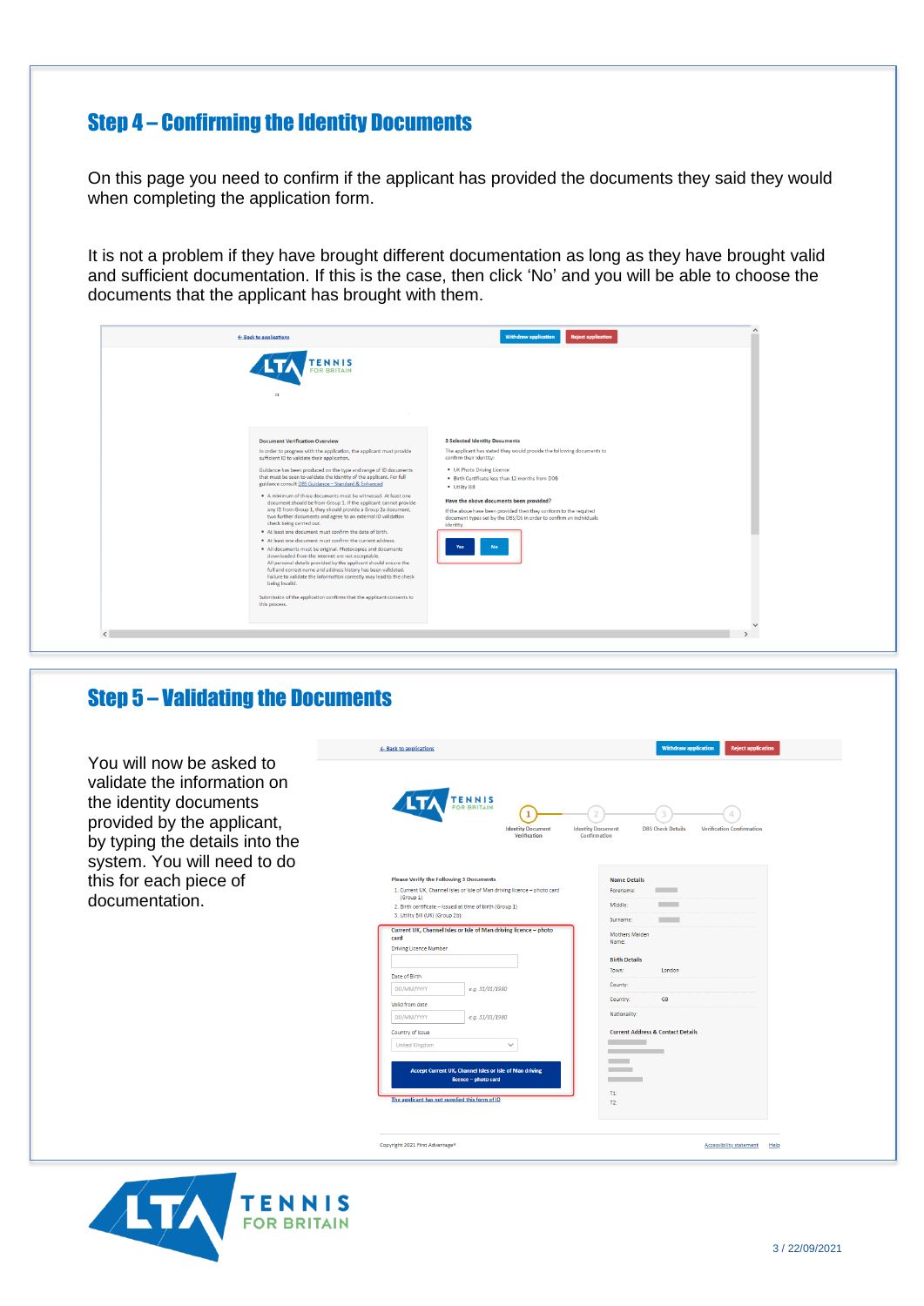# Step 4 – Confirming the Identity Documents

On this page you need to confirm if the applicant has provided the documents they said they would when completing the application form.

It is not a problem if they have brought different documentation as long as they have brought valid and sufficient documentation. If this is the case, then click 'No' and you will be able to choose the documents that the applicant has brought with them.

| ← Back to applications<br>ENNIS<br><b>FOR BRITAIN</b>                                                                                                                                                                                                                                                                                                                                                                                                                                                                                                                                                                                                                                                                                                                                                                                                                                                                                                                                                                                                                                                                                                                                   | <b>Withdraw application</b><br><b>Reject application</b>                                                                                                                                                                                                                                                                                                                                                        |  |
|-----------------------------------------------------------------------------------------------------------------------------------------------------------------------------------------------------------------------------------------------------------------------------------------------------------------------------------------------------------------------------------------------------------------------------------------------------------------------------------------------------------------------------------------------------------------------------------------------------------------------------------------------------------------------------------------------------------------------------------------------------------------------------------------------------------------------------------------------------------------------------------------------------------------------------------------------------------------------------------------------------------------------------------------------------------------------------------------------------------------------------------------------------------------------------------------|-----------------------------------------------------------------------------------------------------------------------------------------------------------------------------------------------------------------------------------------------------------------------------------------------------------------------------------------------------------------------------------------------------------------|--|
| $\Box$<br><b>Document Verification Overview</b>                                                                                                                                                                                                                                                                                                                                                                                                                                                                                                                                                                                                                                                                                                                                                                                                                                                                                                                                                                                                                                                                                                                                         | <b>3 Selected Identity Documents</b>                                                                                                                                                                                                                                                                                                                                                                            |  |
| In order to progress with the application, the applicant must provide<br>sufficient ID to validate their application.<br>Guidance has been produced on the type and range of ID documents<br>that must be seen to validate the identity of the applicant. For full<br>guidance consult DBS Guidance - Standard & Enhanced<br>A minimum of three documents must be witnessed. At least one<br>document should be from Group 1. If the applicant cannot provide<br>any ID from Group 1, they should provide a Group 2a document,<br>two further documents and agree to an external ID validation<br>check being carried out.<br>At least one document must confirm the date of birth.<br>At least one document must confirm the current address.<br>All documents must be original. Photocopies and documents<br>downloaded from the internet are not acceptable.<br>All personal details provided by the applicant should ensure the<br>full and correct name and address history has been validated.<br>Failure to validate the information correctly may lead to the check<br>being invalid.<br>Submission of the application confirms that the applicant consents to<br>this process. | The applicant has stated they would provide the following documents to<br>confirm their identity:<br>. UK Photo Driving Licence<br>. Birth Certificate less than 12 months from DOB<br>· Utility Bill<br>Have the above documents been provided?<br>If the above have been provided then they conform to the required<br>document types set by the DBS/DS in order to confirm an individuals<br>identity.<br>No |  |

# Step 5 – Validating the Documents



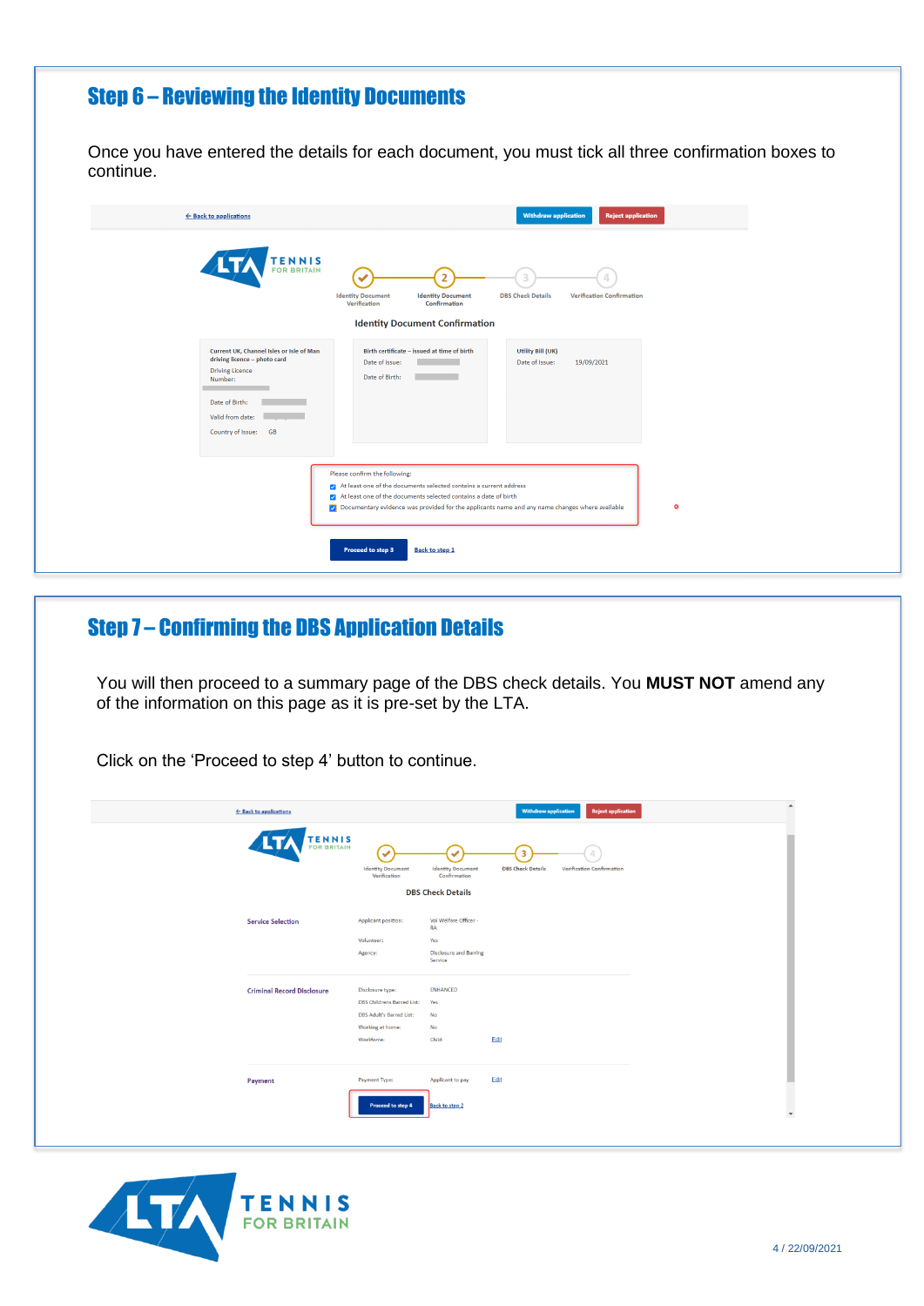# Step 6 – Reviewing the Identity Documents

Once you have entered the details for each document, you must tick all three confirmation boxes to continue.

| ← Back to applications                                                                                                                                                      | <b>Withdraw application</b><br><b>Reject application</b>                                                                                                                                                                                                                                                                            |
|-----------------------------------------------------------------------------------------------------------------------------------------------------------------------------|-------------------------------------------------------------------------------------------------------------------------------------------------------------------------------------------------------------------------------------------------------------------------------------------------------------------------------------|
| <b>TENNIS</b>                                                                                                                                                               | <b>Identity Document</b><br><b>Identity Document</b><br><b>DBS Check Details</b><br><b>Verification Confirmation</b><br>Verification<br>Confirmation<br><b>Identity Document Confirmation</b>                                                                                                                                       |
| Current UK, Channel Isles or Isle of Man<br>driving licence - photo card<br><b>Driving Licence</b><br>Number:<br>Date of Birth:<br>Valid from date:<br>Country of Issue: GB | Birth certificate - issued at time of birth<br>Utility Bill (UK)<br>Date of issue:<br>Date of Issue:<br>19/09/2021<br>Date of Birth:                                                                                                                                                                                                |
|                                                                                                                                                                             | Please confirm the following:<br>At least one of the documents selected contains a current address<br>At least one of the documents selected contains a date of birth<br>of Documentary evidence was provided for the applicants name and any name changes where available<br>$\circ$<br>Proceed to step 3<br><b>Back to step 1</b> |

# Step 7 – Confirming the DBS Application Details

You will then proceed to a summary page of the DBS check details. You **MUST NOT** amend any of the information on this page as it is pre-set by the LTA.

| <b>TENNIS</b><br>FOR BRITAIN<br>3<br>$\checkmark$<br><b>Identity Document</b><br><b>Identity Document</b><br><b>DBS Check Details</b><br><b>Verification Confirmation</b><br>Verification<br>Confirmation<br><b>DBS Check Details</b><br>Vol Welfare Officer -<br>Applicant position:<br><b>Service Selection</b><br>RA<br>Volunteer:<br>Yes<br><b>Disclosure and Barring</b><br>Agency:<br>Service<br><b>ENHANCED</b><br><b>Criminal Record Disclosure</b><br>Disclosure type:<br>DBS Childrens Barred List:<br>Yes<br>DBS Adult's Barred List:<br>No<br>Working at home:<br>No<br>Edit<br>Workforce:<br>Child<br>Edit<br>Payment Type:<br>Applicant to pay<br>Payment<br>Proceed to step 4<br><b>Back to step 2</b> | ← Back to applications |  | <b>Withdraw application</b><br><b>Reject application</b> |
|-----------------------------------------------------------------------------------------------------------------------------------------------------------------------------------------------------------------------------------------------------------------------------------------------------------------------------------------------------------------------------------------------------------------------------------------------------------------------------------------------------------------------------------------------------------------------------------------------------------------------------------------------------------------------------------------------------------------------|------------------------|--|----------------------------------------------------------|
|                                                                                                                                                                                                                                                                                                                                                                                                                                                                                                                                                                                                                                                                                                                       |                        |  |                                                          |
|                                                                                                                                                                                                                                                                                                                                                                                                                                                                                                                                                                                                                                                                                                                       |                        |  |                                                          |
|                                                                                                                                                                                                                                                                                                                                                                                                                                                                                                                                                                                                                                                                                                                       |                        |  |                                                          |
|                                                                                                                                                                                                                                                                                                                                                                                                                                                                                                                                                                                                                                                                                                                       |                        |  |                                                          |
|                                                                                                                                                                                                                                                                                                                                                                                                                                                                                                                                                                                                                                                                                                                       |                        |  |                                                          |
|                                                                                                                                                                                                                                                                                                                                                                                                                                                                                                                                                                                                                                                                                                                       |                        |  |                                                          |
|                                                                                                                                                                                                                                                                                                                                                                                                                                                                                                                                                                                                                                                                                                                       |                        |  |                                                          |
|                                                                                                                                                                                                                                                                                                                                                                                                                                                                                                                                                                                                                                                                                                                       |                        |  |                                                          |
|                                                                                                                                                                                                                                                                                                                                                                                                                                                                                                                                                                                                                                                                                                                       |                        |  |                                                          |
|                                                                                                                                                                                                                                                                                                                                                                                                                                                                                                                                                                                                                                                                                                                       |                        |  |                                                          |
|                                                                                                                                                                                                                                                                                                                                                                                                                                                                                                                                                                                                                                                                                                                       |                        |  |                                                          |
|                                                                                                                                                                                                                                                                                                                                                                                                                                                                                                                                                                                                                                                                                                                       |                        |  |                                                          |

Click on the 'Proceed to step 4' button to continue.